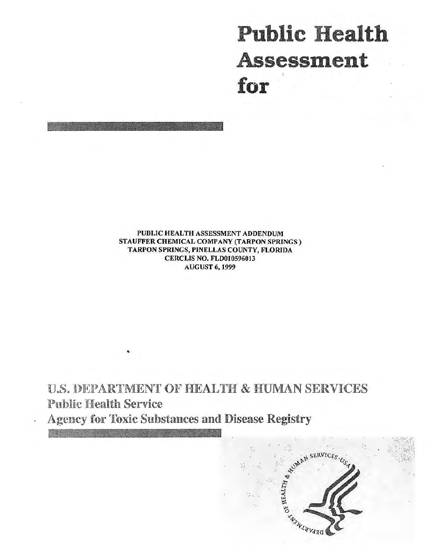# **Public Health** Assessment for

PUBLIC HEALTH ASSESSMENT ADDENDUM STAUFFER CHEMICAL COMPANY (TARPON SPRINGS) TARPON SPRINGS, PINELLAS COUNTY, FLORIDA **CERCLIS NO. FLD010596013 AUGUST 6, 1999** 

**U.S. DEPARTMENT OF HEALTH & HUMAN SERVICES Public Health Service** 

**Agency for Toxic Substances and Disease Registry** 

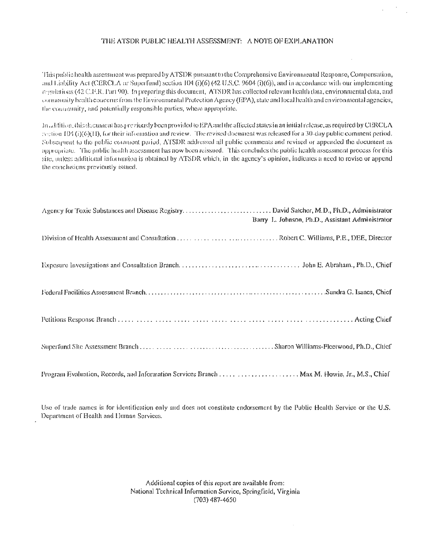#### THE ATSDR PUBLIC HEALTH ASSESSMENT: A NOTE OF EXPLANATION

This public health assessment was prepared by ATSDR pursuant to the Comprehensive Environmental Response, Compensation, and Liability Act (CERCLA or Superfund) section 104 (i)(6) (42 U.S.C. 9604 (i)(6)), and in accordance with our implementing regulations (42 C.F.R. Part 90). In preparing this document, ATSDR has collected relevant health data, environmental data, and community health concerns from the Environmental Protection Agency (EPA), state and local health and environmental agencies, the community, and potentially responsible parties, where appropriate.

In addition, this document has previously been provided to EPA and the affected states in an initial release, as required by CERCLA restion 104 (i)(O)(1), for their information and review. The revised document was released for a 30-day public comment period. Subsequent to the public comment period, ATSDR addressed all public comments and revised or appended the document as appropriate. The public health assessment has now been reissued. This concludes the public health assessment process for this site, unless additional information is obtained by ATSDR which, in the agency's opinion, indicates a need to revise or append the conclusions previously issued.

|                                                                                              | Barry L. Johnson, Ph.D., Assistant Administrator |
|----------------------------------------------------------------------------------------------|--------------------------------------------------|
|                                                                                              |                                                  |
|                                                                                              |                                                  |
|                                                                                              |                                                  |
|                                                                                              |                                                  |
|                                                                                              |                                                  |
| Program Evaluation, Records, and Information Services Branch  Max M. Howie, Jr., M.S., Chief |                                                  |

Use of trade names is for identification only and does not constitute endorsement by the Public Health Service or the U.S. Department of Health and Human Services.

> Additional copies of this report are available from: National Technical Information Service, Springfield, Virginia (703) 487-4650

> > $\bar{z}$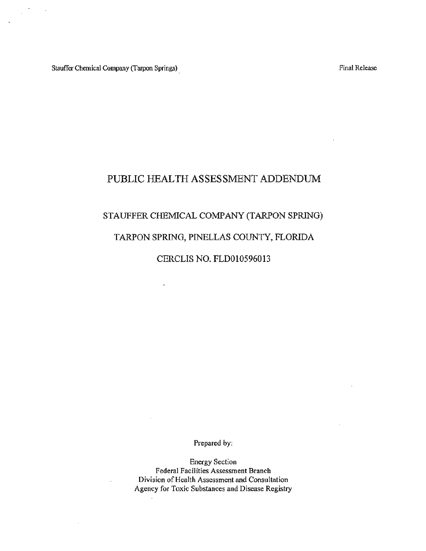Stauffer Chemical Company (Tarpon Springs)

 $\sim$   $\sim$ 

Final Release

# PUBLIC HEALTH ASSESSMENT ADDENDUM

# STAUFFER CHEMICAL COMPANY (TARPON SPRING)

# TARPON SPRING, PINELLAS COUNTY, FLORIDA

#### CERCLIS NO. FLD010596013

 $\ddot{\phantom{a}}$ 

Prepared by:

Energy Section Federal Facilities Assessment Branch Division of Health Assessment and Consultation Agency for Toxic Substances and Disease Registry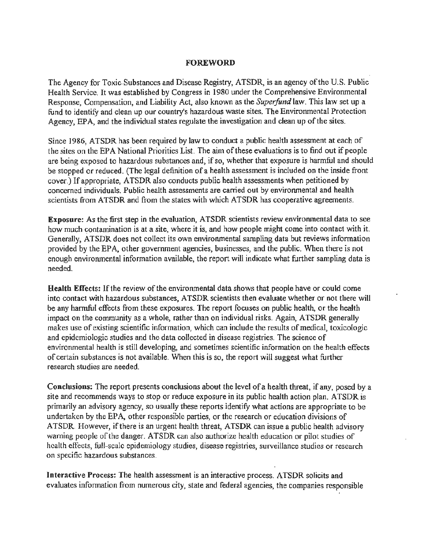#### FOREWORD

The Agency for Toxic. Substances and Disease Registry, ATSDR, is an agency of the U.S. Public Health Service. It was established by Congress in 1980 under the Comprehensive Environmental Response, Compensation, and Liability Act, also known as the *Superfund* law. This law set up a fund to identify and clean up our country's hazardous waste sites. The Environmental Protection Agency, EPA, and the individual states regulate the investigation and clean up of the sites.

Since 1986, ATSDR has been required by law to conduct a public health assessment at each of the sites on the EPA National Priorities List. The aim of these evaluations is to find out if people are being exposed to hazardous substances and, if so, whether that exposure is harmful and should be stopped or reduced. (The legal definition of a health assessment is included on the inside front cover.) If appropriate, ATSDR also conducts public health assessments when petitioned by concerned individuals. Public health assessments are carried out by environmental and health scientists from ATSDR and from the states with which ATSDR has cooperative agreements.

**Exposure:** As the first step in the evaluation, ATSDR scientists review environmental data to see how much contamination is at a site, where it is, and how people might come into contact with it. Generally, ATSDR does not collect its own environmental sampling data but reviews information provided by the EPA, other government agencies, businesses, and the public. When there is not enough environmental information available, the report will indicate what further sampling data is needed.

Health Effects: If the review of the environmental data shows that people have or could come into contact with hazardous substances, ATSDR scientists then evaluate whether or not there will be any harmful effects from these exposures. The report focuses on public health, or the health impact on the community as a whole, rather than on individual risks. Again, ATSDR generally makes use of existing scientific information, which can include the results of medical, toxicologic and epidemiologic studies and the data collected in disease registries. The science of environmental health is still developing, and sometimes scientific information on the health effects of certain substances is not available. When this is so, the report will suggest what further research studies are needed.

Conclusions: The report presents conclusions about the level of a health threat, if any, posed by a site and recommends ways to stop or reduce exposure in its public health action plan. ATSDR is primarily an advisory agency, so usually these reports identify what actions are appropriate to be undertaken by the EPA, other responsible parties, or the research or education divisions of ATSDR. However, if there is an urgent health threat, ATSDR can issue a public health advisory warning people of the danger. ATSDR can also authorize health education or pilot studies of health effects, full-scale epidemiology studies, disease registries, surveillance studies or research on specific hazardous substances.

Interactive Process: The health assessment is an interactive process. ATSDR solicits and evaluates information from numerous city, state and federal agencies, the companies responsible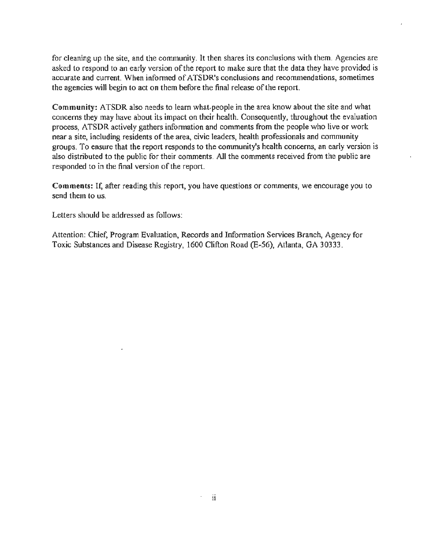for cleaning up the site, and the community. It then shares its conclusions with them. Agencies are asked to respond to an early version of the report to make sure that the data they have provided is accurate and current. When informed of ATSDR's conclusions and recommendations, sometimes the agencies will begin to act on them before the final release of the report.

Community: ATSDR also needs to learn what-people in the area know about the site and what concerns they may have about its impact on their health. Consequently, throughout the evaluation process, ATSDR actively gathers information and comments from the people who live or work near a site, including residents of the area, civic leaders, health professionals and community groups. To ensure that the report responds to the community's health concerns, an early version is also distributed to the public for their comments. All the comments received from the public are responded to in the final version of the report.

Comments: If, after reading this report, you have questions or comments, we encourage you to send them to us.

Letters should be addressed as follows:

Attention: Chief, Program Evaluation, Records and Information Services Branch, Agency for Toxic Substances and Disease Registry, 1600 Clifton Road (E-56), Atlanta, GA 30333.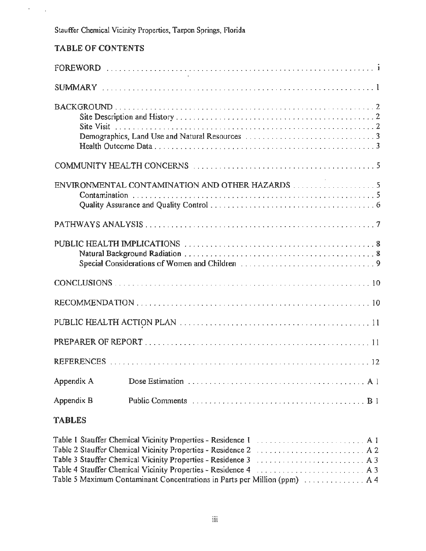# TABLE OF CONTENTS

 $\sigma_{\rm{max}}$ 

|               | $\sim$ $\sim$ $\sim$                            |
|---------------|-------------------------------------------------|
|               |                                                 |
|               |                                                 |
|               |                                                 |
|               | ENVIRONMENTAL CONTAMINATION AND OTHER HAZARDS 5 |
|               |                                                 |
|               |                                                 |
|               |                                                 |
|               |                                                 |
|               |                                                 |
|               |                                                 |
|               |                                                 |
| Appendix A    |                                                 |
| Appendix B    |                                                 |
| <b>TABLES</b> |                                                 |

| Table 1 Stauffer Chemical Vicinity Properties - Residence 1  A 1                                    |  |
|-----------------------------------------------------------------------------------------------------|--|
| Table 2 Stauffer Chemical Vicinity Properties - Residence 2  A 2                                    |  |
| Table 3 Stauffer Chemical Vicinity Properties - Residence 3  A 3                                    |  |
| Table 4 Stauffer Chemical Vicinity Properties - Residence 4  A 3                                    |  |
| Table 5 Maximum Contaminant Concentrations in Parts per Million (ppm) $\dots \dots \dots \dots$ A 4 |  |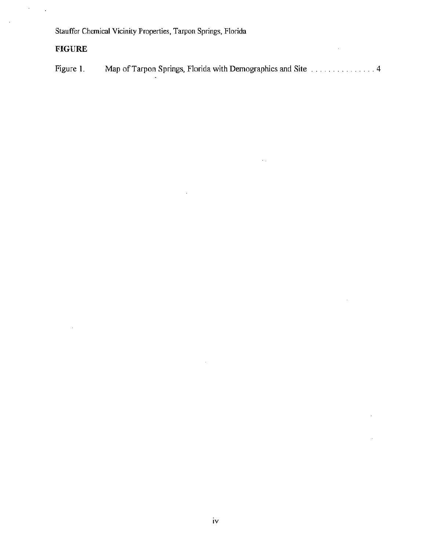# **FIGURE**

 $\bar{z}$ 

 $\ddot{\phantom{a}}$ 

Figure I. Map of Tarpon Springs, Florida with Demographics and Site . .... . ....... .. 4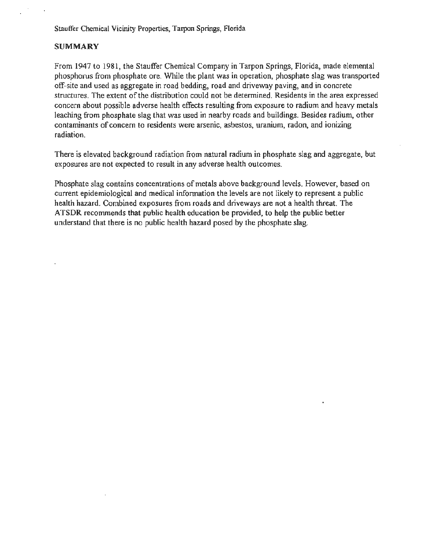#### **SUMMARY**

From 1947 to 1981, the Stauffer Chemical Company in Tarpon Springs, Florida, made elemental phosphorus from phosphate ore. While the plant was in operation, phosphate slag was transported off-site and used as aggregate in road bedding, road and driveway paving, and in concrete structures. The extent of the distribution could not be determined. Residents in the area expressed concern about possible adverse health effects resulting from exposure to radium and heavy metals leaching from phosphate slag that was used in nearby roads and buildings. Besides radium, other contaminants of concern to residents were arsenic, asbestos, uranium, radon, and ionizing radiation.

There is elevated background radiation from natural radium in phosphate slag and aggregate, but exposures are not expected to result in any adverse health outcomes.

Phosphate slag contains concentrations of metals above background levels. However, based on current epidemiological and medical information the levels are not likely to represent a public health hazard. Combined exposures from roads and driveways are not a health threat. The ATSDR recommends that public health education be provided, to help the public better understand that there is no public health hazard posed by the phosphate slag.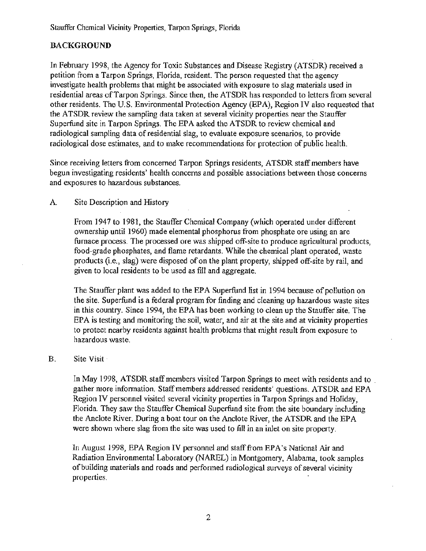# **BACKGROUND**

In February 1998, the Agency for Toxic Substances and Disease Registry (ATSDR) received a petition from a Tarpon Springs, Florida, resident. The person requested that the agency investigate health problems that might be associated with exposure to slag materials used in residential areas ofTarpon Springs. Since then, the ATSDR has responded to letters from several other residents. The U.S. Environmental Protection Agency (EPA), Region IV also requested that the ATSDR review the sampling data taken at several vicinity properties near the Stauffer Superfund site in Tarpon Springs. The EPA asked the ATSDR to review chemical and radiological sampling data of residential slag, to evaluate exposure scenarios, to provide radiological dose estimates, and to make recommendations for protection of public health.

Since receiving letters from concerned Tarpon Springs residents, ATSDR staff members have begun investigating residents' health concerns and possible associations between those concerns and exposures to hazardous substances.

#### A. Site Description and History

From 1947 to 1981, the Stauffer Chemical Company (which operated under different ownership until 1960) made elemental phosphorus from phosphate ore using an arc furnace process. The processed ore was shipped off-site to produce agricultural products, food-grade phosphates, and flame retardants. While the chemical plant operated, waste products (i.e., slag) were disposed of on the plant property, shipped off-site by rail, and given to local residents to be used as fill and aggregate.

The Stauffer plant was added to the EPA Superfund list in 1994 because of pollution on the site. Superfund is a federal program for finding and cleaning up hazardous waste sites in this country. Since 1994, the EPA has been working to clean up the Stauffer site. The EPA is testing and monitoring the soil, water, and air at the site and at vicinity properties to protect nearby residents against health problems that might result from exposure to hazardous waste.

#### B. Site Visit·

In May 1998, ATSDR staff members visited Tarpon Springs to meet with residents and to gather more information. Staff members addressed residents' questions. ATSDR and EPA Region IV personnel visited several vicinity properties in Tarpon Springs and Holiday, Florida. They saw the Stauffer Chemical Superfund site from the site boundary including the Anclote River. During a boat tour on the Anclote River, the ATSDR and the EPA were shown where slag from the site was used to fill in an inlet on site property.

In August 1998, EPA Region IV personnel and staff from EPA's National Air and Radiation Environmental Laboratory (NAREL) in Montgomery, Alabama, took samples of building materials and roads and performed radiological surveys of several vicinity properties.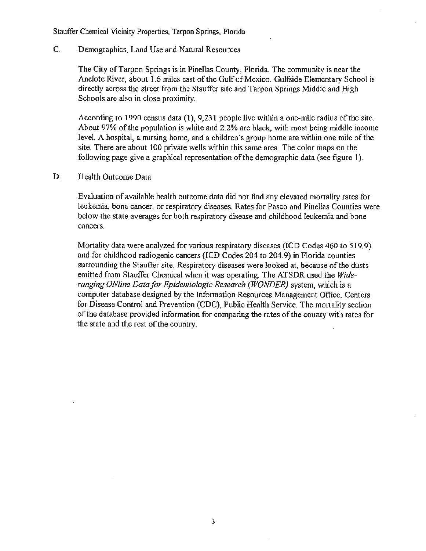C. Demographics, Land Use and Natural Resources

The City of Tarpon Springs is in Pinellas County, Florida. The community is near the Anclote River, about 1.6 miles east of the Gulf of Mexico. Gulfside Elementary School is directly across the street from the Stauffer site and Tarpon Springs Middle and High Schools are also in close proximity.

According to 1990 census data (1), 9,231 people live within a one-mile radius of the site. About 97% of the population is white and 2.2% are black, with most being middle income level. A hospital, a nursing home, and a children's group home are within one mile of the site. There are about 100 private wells within this same area. The color maps on the following page give a graphical representation of the demographic data (see figure 1).

D. Health Outcome Data

Evaluation of available health outcome data did not find any elevated mortality rates for leukemia, bone cancer, or respiratory diseases. Rates for Pasco and Pinellas Counties were below the state averages for both respiratory disease and childhood leukemia and bone cancers.

Mortality data were analyzed for various respiratory diseases (ICD Codes 460 to 519.9) and for childhood radiogenic cancers (lCD Codes 204 to 204.9) in Florida counties surrounding the Stauffer site. Respiratory diseases were looked at, because of the dusts emitted from Stauffer Chemical when it was operating. The ATSDR used the *Wideranging ONline Data for Epidemiologic Research (WONDER)* system, which is a computer database designed by the Information Resources Management Office, Centers for Disease Control and Prevention (CDC), Public Health Service. The mortality section of the database provided information for comparing the rates of the county with rates for the state and the rest of the country.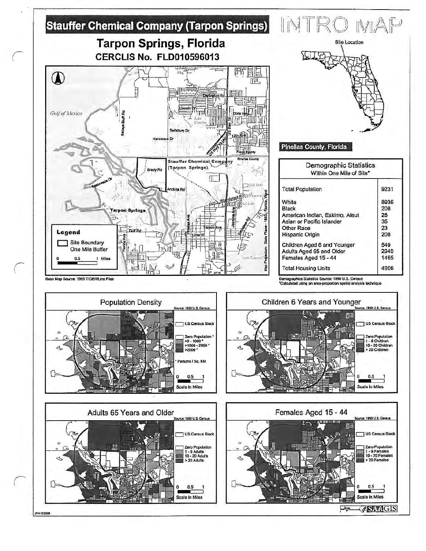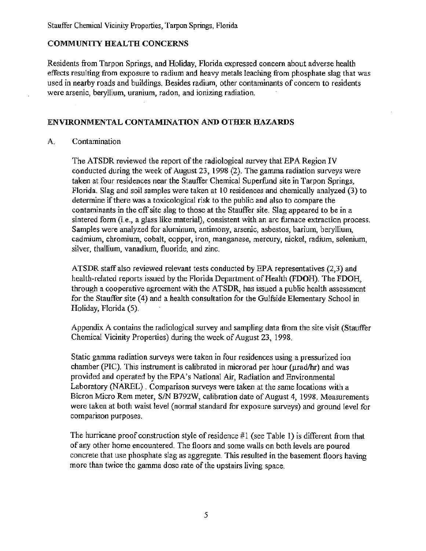#### COMMUNITY HEALTH CONCERNS

Residents from Tarpon Springs, and Holiday, Florida expressed concern about adverse health effects resulting from exposure to radium and heavy metals leaching from phosphate slag that was used in nearby roads and buildings. Besides radium, other contaminants of concern to residents were arsenic, beryllium, uranium, radon, and ionizing radiation.

#### ENVIRONMENTAL CONTAMINATION AND OTHER HAZARDS

#### A. Contamination

The ATSDR reviewed the report of the radiological survey that EPA Region IV conducted during the week of August 23, 1998 (2). The gamma radiation surveys were taken at four residences near the Stauffer Chemical Superfund site in Tarpon Springs, Florida. Slag and soil samples were taken at 10 residences and chemically analyzed (3) to determine if there was a toxicological risk to the public and also to compare the contaminants in the off site slag to those at the Stauffer site. Slag appeared to be in a sintered form (i.e., a glass like material), consistent with an arc furnace extraction process. Samples were analyzed for aluminum, antimony, arsenic, asbestos, barium, beryllium, cadmium, chromium, cobalt, copper, iron, manganese, mercury, nickel, radium, selenium, silver, thallium, vanadium, fluoride, and zinc.

ATSDR staff also reviewed relevant tests conducted by EPA representatives (2,3) and health-related reports issued by the Florida Department of Health (FDOH). The FDOH, through a cooperative agreement with the ATSDR, has issued a public health assessment for the Stauffer site (4) and a health consultation for the Gulfside Elementary School in Holiday, Florida (5).

Appendix A contains the radiological survey and sampling data from the site visit (Stauffer Chemical Vicinity Properties) during the week of August 23, 1998.

Static gamma radiation surveys were taken in four residences using a pressurized ion chamber (PIC). This instrument is calibrated in microrad per hour ( $\mu$ rad/hr) and was provided and operated by the EPA's National Air, Radiation and Environmental Laboratory (NAREL). Comparison surveys were taken at the same locations with a Bicron Micro Rem meter, *SIN* B792W, calibration date of August 4, 1998. Measurements were taken at both waist level (normal standard for exposure surveys) and ground level for comparison purposes.

The hurricane proof construction style of residence #I (see Table 1) is different from that of any other home encountered. The floors and some walls on both levels are poured concrete that use phosphate slag as aggregate. This resulted in the basement floors having more than twice the gamma dose rate of the upstairs living space.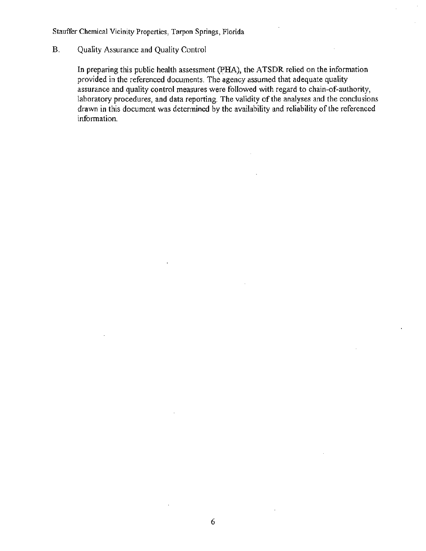#### B. Quality Assurance and Quality Control

In preparing this public health assessment (PHA), the ATSDR relied on the information provided in the referenced documents. The agency assumed that adequate quality assurance and quality control measures were followed with regard to chain-of-authority, laboratory procedures, and data reporting. The validity of the analyses and the conclusions drawn in this document was determined by the availability and reliability of the referenced information.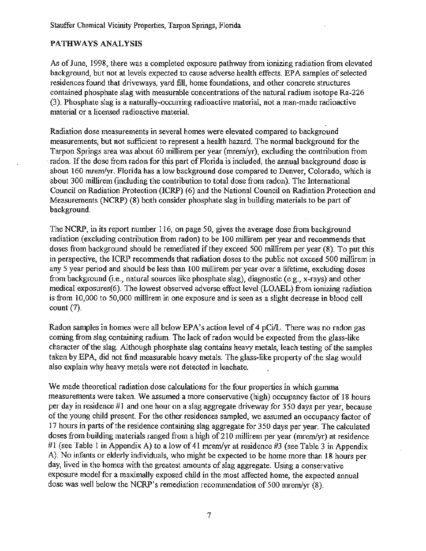### PATHWAYS ANALYSIS

As of June, 1998, there was a completed exposure pathway from ionizing radiation from elevated background, but not at levels expected to cause adverse health effects. EPA samples of selected residences found that driveways, yard fill, home foundations, and other concrete structures contained phosphate slag with measurable concentrations of the natural radium isotope Ra-226 (3). Phosphate slag is a naturally-occurring radioactive material, not a man-made radioactive material or a licensed radioactive materiaL

Radiation dose measurements in several homes were elevated compared to background measurements, but not sufficient to represent a health hazard. The normal background for the Tarpon Springs area was about 60 millirem per year (mrem/yr), excluding the contribution from radon. If the dose from radon for this part of Florida is included, the annual background dose is about 160 mrem/yr. Florida has a low background dose compared to Denver, Colorado, which is about 300 millirem (including the contribution to total dose from radon). The International Council on Radiation Protection (ICRP) (6) and the National Council on Radiation Protection and Measurements (NCRP) (8) both consider phosphate slag in building materials to be part of background.

The NCRP, in its report number 116, on page 50, gives the average dose from background radiation (excluding contribution from radon) to be 100 millirem per year and recommends that doses from background should be remediated if they exceed 500 millirem per year (8). To put this in perspective, the ICRP recommends that radiation doses to the public not exceed 500 rnillirem in any 5 year period and should be less than 100 millirem per year over a lifetime, excluding doses from background (i.e., natural sources like phosphate slag), diagnostic (e.g., x-rays) and other medical exposures(6). The lowest observed adverse effect level (LOAEL) from ionizing radiation is from 10,000 to 50,000 millirem in one exposure and is seen as a slight decrease in blood cell count (7).

Radon samples in homes were all below EPA's action level of 4 pCi/L. There was no radon gas coming from slag containing radium. The lack of radon would be expected from the glass-like character of the slag. Although phosphate slag contains heavy metals, leach testing of the samples taken by EPA, did not find measurable heavy metals. The glass-like property of the slag would also explain why heavy metals were not detected in leachate.

We made theoretical radiation dose calculations for the four properties in which gamma measurements were taken. We assumed a more conservative (high) occupancy factor of 18 hours per day in residence #1 and one hour on a slag aggregate driveway for 350 days per year, because of the young child present. For the other residences sampled, we assumed an occupancy factor of 17 hours in parts of the residence containing slag aggregate for 350 days per year. The calculated doses from building materials ranged from a high of210 millirem per year (mrem/yr) at residence #1 (see Table 1 in Appendix A) to a low of 41 m rem/vr at residence #3 (see Table 3 in Appendix A). No infants or elderly individuals, who might be expected to be home more than 18 hours per day, lived in the homes with the greatest amounts of slag aggregate. Using a conservative exposure model for a maximally exposed child in the most affected home, the expected annual dose was well below the NCRP's remediation recommendation of 500 mrem/yr (8).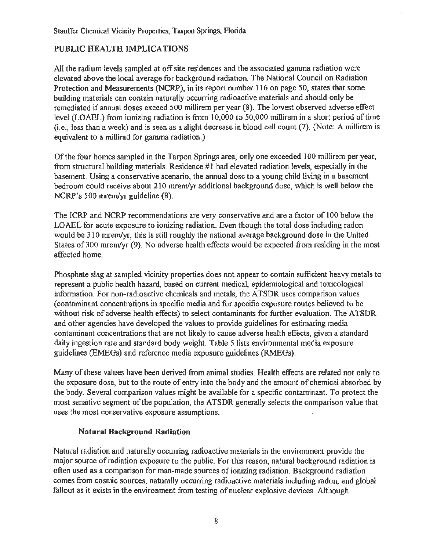# PUBLIC HEALTH IMPLICATIONS

All the radium levels sampled at off site residences and the associated gamma radiation were elevated above the local average for background radiation. The National Council on Radiation Protection and Measurements (NCRP), in its report number 116 on page 50, states that some building materials can contain naturally occurring radioactive materials and should only be remediated if annual doses exceed 500 millirem per year (8). The lowest observed adverse effect level (LOAEL) from ionizing radiation is from 10,000 to 50,000 millirem in a short period of time (i.e., less than a week) and is seen as a slight decrease in blood cell count (7). (Note: A millirem is equivalent to a millirad for gamma radiation.)

Of the four homes sampled in the Tarpon Springs area, only one exceeded 100 millirem per year, from structural building materials. Residence #1 had elevated radiation levels, especially in the basement. Using a conservative scenario, the annual dose to a young child living in a basement bedroom could receive about 210 mrem/yr additional background dose, which is well below the NCRP's 500 mrem/yr guideline (8).

The ICRP and NCRP recommendations are very conservative and are a factor of 100 below the LOAEL for acute exposure to ionizing radiation. Even though the total dose including radon would be 310 mrem/yr, this is still roughly the national average background dose in the United States of 300 mrem/yr (9). No adverse health effects would be expected from residing in the most affected home.

Phosphate slag at sampled vicinity properties does not appear to contain sufficient heavy metals to represent a public health hazard, based on current medical, epidemiological and toxicological information. For non-radioactive chemicals and metals, the ATSDR uses comparison values (contaminant concentrations in specific media and for specific exposure routes believed to be without risk of adverse health effects) to select contaminants for further evaluation. The ATSDR and other agencies have developed the values to provide guidelines for estimating media contaminant concentrations that are not likely to cause adverse health effects, given a standard daily ingestion rate and standard body weight. Table 5 lists environmental media exposure guidelines (EMEGs) and reference media exposure guidelines (RMEGs).

Many of these values have been derived from animal studies. Health effects are related not only to the exposure dose, but to the route of entry into the body and the amount of chemical absorbed by the body. Several comparison values might be available for a specific contaminant. To protect the most sensitive segment of the population, the ATSDR generally selects the comparison value that uses the most conservative exposure assumptions.

#### Natural Background Radiation

Natural radiation and naturally occurring radioactive materials in the environment provide the major source of radiation exposure to the public. For this reason, natural background radiation is often used as a comparison for man-made sources of ionizing radiation. Background radiation comes from cosmic sources, naturally occurring radioactive materials including radon, and global fallout as it exists in the environment from testing of nuclear explosive devices. Although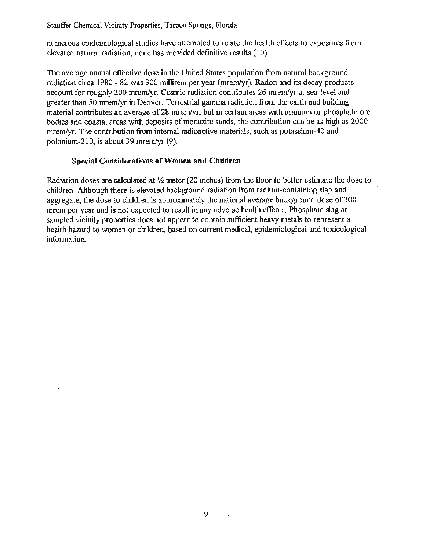numerous epidemiological studies have attempted to relate the health effects to exposures from elevated natural radiation, none has provided definitive results (10).

The average annual effective dose in the United States population from natural background radiation circa 1980 - 82 was 300 millirem per year (mrem/yr). Radon and its decay products account for roughly 200 mrem/yr. Cosmic radiation contributes 26 mrem/yr at sea-level and greater than 50 mrem/yr in Denver. Terrestrial gamma radiation from the earth and building material contributes an average of 28 mrem/yr, but in certain areas with uranium or phosphate ore bodies and coastal areas with deposits of monazite sands, the contribution can be as high as 2000 mrem/yr. The contribution from internal radioactive materials, such as potassium-40 and polonium-210, is about 39 mrem/yr  $(9)$ .

#### **Special Considerations of Women and Children**

Radiation doses are calculated at *Y2* meter (20 inches) from the floor to better estimate the dose to children. Although there is elevated background radiation from radium-containing slag and aggregate, the dose to children is approximately the national average background dose of 300 mrem per year and is not expected to result in any adverse health effects. Phosphate slag at sampled vicinity properties does not appear to contain sufficient heavy metals to represent a health hazard to women or children, based on current medical, epidemiological and toxicological information.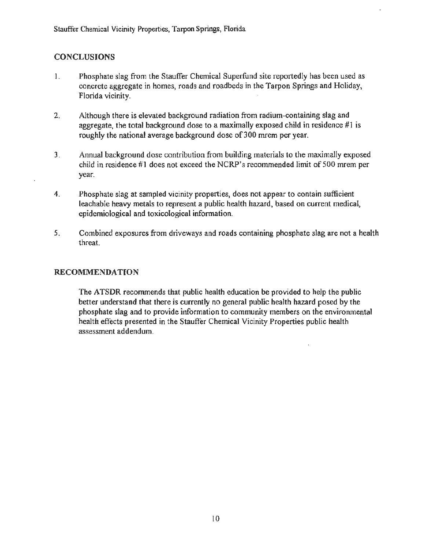# **CONCLUSIONS**

- 1. Phosphate slag from the Stauffer Chemical Superfund site reportedly has been used as concrete aggregate in homes, roads and roadbeds in the Tarpon Springs and Holiday, Florida vicinity.
- 2. Although there is elevated background radiation from radium-containing slag and aggregate, the total background dose to a maximally exposed child in residence  $\#1$  is roughly the national average background dose of 300 mrem per year.
- 3. Annual background dose contribution from building materials to the maximally exposed child in residence #1 does not exceed the NCRP's recommended limit of 500 mrem per year.
- 4. Phosphate slag at sampled vicinity properties, does not appear to contain sufficient leachable heavy metals to represent a public health hazard, based on current medical, epidemiological and toxicological information.
- 5. Combined exposures from driveways and roads containing phosphate slag are not a health threat.

#### RECOMMENDATION

The ATSDR recommends that public health education be provided to help the public better understand that there is currently no general public health hazard posed by the phosphate slag and to provide information to community members on the environmental health effects presented in the Stauffer Chemical Vicinity Properties public health assessment addendum.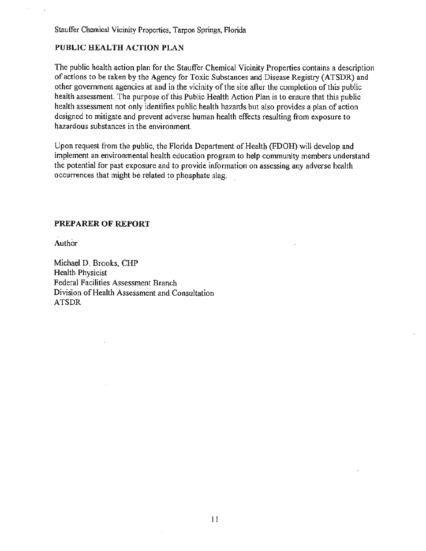### **PUBLIC HEALTH ACTION PLAN**

The public health action plan for the Stauffer Chemical Vicinity Properties contains a description of actions to be taken by the Agency for Toxic Substances and Disease Registry (ATSDR) and other government agencies at and in the vicinity of the site after the completion of this public health assessment. The purpose of this Public Health Action Plan is to ensure that this public health assessment not only identifies public health hazards but also provides a plan of action designed to mitigate and prevent adverse human health effects resulting from exposure to hazardous substances in the environment.

Upon request from the public, the Florida Department of Health (FDOH) will develop and implement an environmental health education program to help community members understand the potential for past exposure and to provide information on assessing any adverse health occurrences that might be related to phosphate slag.

#### **PREPARER OF REPORT**

Author

Michael D. Brooks, CHP Health Physicist Federal Facilities Assessment Branch Division of Health Assessment and Consultation ATSDR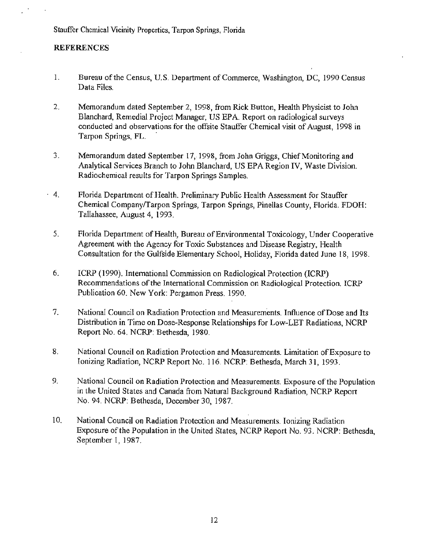#### **REFERENCES**

- I. Bureau of the Census, U.S. Department of Commerce, Washington, DC, 1990 Census Data Files.
- 2. Memorandum dated September 2, 1998, from Rick Button, Health Physicist to John Blanchard, Remedial Project Manager, US EPA. Report on radiological surveys conducted and observations for the offsite Stauffer Chemical visit of August, 1998 in Tarpon Springs, FL. ·
- 3. Memorandum dated September 17, 1998, from John Griggs, Chief Monitoring and Analytical Services Branch to John Blanchard, US EPA Region IV, Waste Division. Radiochemical results for Tarpon Springs Samples.
- · 4. Florida Department of Health. Preliminary Public Health Assessment for Stauffer Chemical Company/Tarpon Springs, Tarpon Springs, Pinellas County, Florida. FDOH: Tallahassee, August 4, 1993.
	- 5. Florida Department of Health, Bureau of Environmental Toxicology, Under Cooperative Agreement with the Agency for Toxic Substances and Disease Registry, Health Consultation for the Gulfside Elementary School, Holiday, Florida dated June 18, 1998.
	- 6. ICRP (1990). International Commission on Radiological Protection (ICRP) Recommendations of the International Commission on Radiological Protection. ICRP Publication 60. New York: Pergamon Press. 1990.
	- 7. National Council on Radiation Protection and Measurements. Influence of Dose and Its Distribution in Time on Dose-Response Relationships for Low-LET Radiations, NCRP Report No. 64. NCRP: Bethesda, 1980.
	- 8. National Council on Radiation Protection and Measurements. Limitation of Exposure to Ionizing Radiation, NCRP Report No. 116. NCRP: Bethesda, March 31, 1993.
- 9. National Council on Radiation Protection and Measurements. Exposure of the Population in the United States and Canada from Natural Background Radiation, NCRP Report No. 94. NCRP: Bethesda, December 30, 1987.
- 10. National Council on Radiation Protection and Measurements. Ionizing Radiation Exposure of the Population in the United States, NCRP Report No. 93. NCRP: Bethesda, September 1, 1987.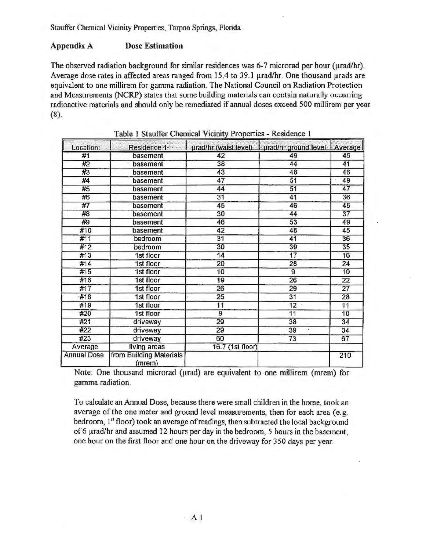#### **Appendix A Dose Estimation**

The observed radiation background for similar residences was 6-7 microrad per hour (urad/hr). Average dose rates in affected areas ranged from 15.4 to 39.1 µrad/hr. One thousand µrads are equivalent to one millirem for gamma radiation. The National Council on Radiation Protection and Measurements (NCRP) states that some building materials can contain naturally occurring radioactive materials and should only be remediated if annual doses exceed 500 millirem per year  $(8).$ 

| Location:          | Residence 1                       | urad/hr (waist level) | urad/hr ground level   Average |                 |
|--------------------|-----------------------------------|-----------------------|--------------------------------|-----------------|
| #1                 | basement                          | 42                    | 49                             | 45              |
| #2                 | basement                          | 38                    | 44                             | 41              |
| #3                 | basement                          | 43                    | 48                             | 46              |
| #4                 | basement                          | 47                    | 51                             | 49              |
| #5                 | basement                          | 44                    | 51                             | 47              |
| #6                 | basement                          | 31                    | 41                             | 36              |
| #7                 | basement                          | 45                    | 46                             | 45              |
| #8                 | basement                          | 30                    | 44                             | $\overline{37}$ |
| #9                 | basement                          | 46                    | 53                             | 49              |
| #10                | basement                          | 42                    | 48                             | 45              |
| #11                | bedroom                           | $\overline{31}$       | 41                             | 36              |
| #12                | bedroom                           | 30                    | 39                             | 35              |
| #13                | 1st floor                         | 14                    | 17                             | 16              |
| #14                | 1st floor                         | 20                    | 28                             | 24              |
| #15                | 1st floor                         | 10                    | 9                              | 10              |
| #16                | 1st floor                         | 19                    | 26                             | 22              |
| #17                | 1st floor                         | 26                    | 29                             | $\overline{27}$ |
| #18                | 1st floor                         | 25                    | 31                             | 28              |
| #19                | 1st floor                         | 11                    | 12                             | 11              |
| #20                | 1st floor                         | 9                     | 11                             | 10              |
| #21                | driveway                          | 29                    | 38                             | 34              |
| #22                | driveway                          | 29                    | 39                             | 34              |
| #23                | driveway                          | 60                    | 73                             | 67              |
| Average            | living areas                      | 16.7 (1st floor)      |                                |                 |
| <b>Annual Dose</b> | from Building Materials<br>(mrem) |                       |                                | 210             |

Table 1 Stauffer Chemical Vicinity Properties - Residence 1

Note: One thousand microrad (urad) are equivalent to one millirem (mrem) for gamma radiation.

To calculate an Annual Dose, because there were small children in the home, took an average of the one meter and ground level measurements, then for each area (e.g. bedroom, 1<sup>st</sup> floor) took an average of readings, then subtracted the local background of 6 urad/hr and assumed 12 hours per day in the bedroom, 5 hours in the basement. one hour on the first floor and one hour on the driveway for 350 days per year.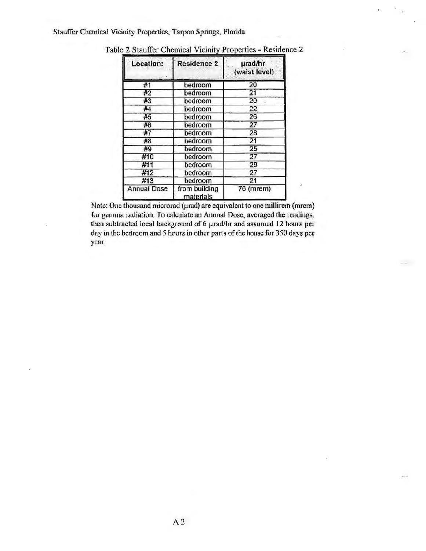| Location:                                        | <b>Residence 2</b> | urad/hr<br>(waist level) |
|--------------------------------------------------|--------------------|--------------------------|
| #1                                               | bedroom            | 20                       |
| #2                                               | bedroom            | 21                       |
| #3                                               | bedroom            | 20                       |
| #4                                               | bedroom            | 22                       |
| #5                                               | bedroom            | 26                       |
| #6                                               | bedroom            | 27                       |
| #7                                               | bedroom            | 28                       |
| #8                                               | bedroom            | 21                       |
| #9                                               | bedroom            | 25                       |
| #10                                              | bedroom            | 27                       |
| #11                                              | bedroom            | 29                       |
| #12                                              | bedroom            | 27                       |
| #13                                              | bedroom            | 21                       |
| from building<br><b>Annual Dose</b><br>materials |                    | 76 (mrem)                |

Table 2 Stauffer Chemical Vicinity Properties - Residence 2

Note: One thousand microrad (urad) are equivalent to one millirem (mrem) for gamma radiation. To calculate an Annual Dose, averaged the readings, then subtracted local background of 6 µrad/hr and assumed 12 hours per day in the bedroom and 5 hours in other parts of the house for 350 days per year.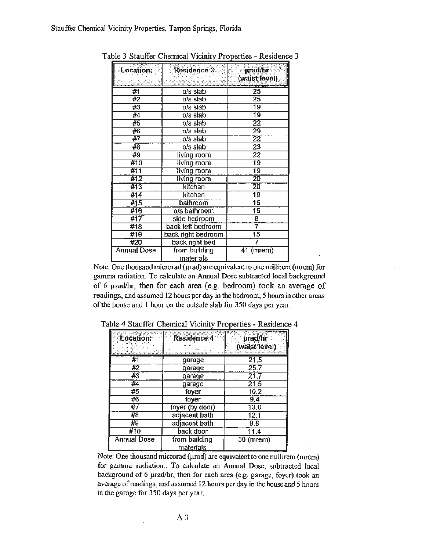| Location:   | <b>Residence 3</b> | <b>µrad/hr</b>  |
|-------------|--------------------|-----------------|
|             |                    | (waist level).  |
| #1          | $0/s$ slab         | 25              |
| #2          | $o/s$ slab         | $\overline{25}$ |
| #3          | $o/s$ slab         | 19              |
| #4          | $o/s$ slab         | $\overline{19}$ |
| #5          | o/s slab           | $\overline{22}$ |
| #6          | o/s slab           | 29              |
| #7          | o/s slab           | 22              |
| #8          | o/s slab           | 23              |
| #9          | living room        | $\overline{22}$ |
| #10         | living room        | 19              |
| #11         | living room        | 19              |
| #12         | living room        | $\overline{20}$ |
| #13         | kitchen            | 20              |
| #14         | kitchen            | 19              |
| #15         | bathroom           | $\overline{15}$ |
| #16         | o/s bathroom       | $\overline{15}$ |
| #17         | side bedroom       | 8               |
| #18         | back left bedroom  | 7               |
| #19         | back right bedroom | $\overline{15}$ |
| #20         | back right bed     |                 |
| Annual Dose | from building      | 41 (mrem)       |
|             | <u>materials</u>   |                 |

Table 3 Stauffer Chemical Vicinity Properties - Residence 3

Note: One thousand microrad (urad) are equivalent to one millirem (mrem) for gamma radiation. To calculate an Annual Dose subtracted local background of 6 µrad/hr, then for each area (e.g. bedroom) took an average of readings, and assumed 12 hours per day in the bedroom, *5* hours in other areas of the house and 1 hour on the outside slab for 350 days per year.

| Location:          | <b>Residence 4</b>                | prad/hr<br>(waist level) |
|--------------------|-----------------------------------|--------------------------|
| #1                 | garage                            | 21.5                     |
| #2                 | garage                            | 25.7                     |
| #3                 | garage                            | 21.7                     |
| #4                 | garage                            | 21.5                     |
| #5                 | foyer                             | 10.2                     |
| #6                 | foyer                             | 9,4                      |
| #7                 | foyer (by door)                   | 13.0                     |
| #8                 | adjacent bath                     | 12.1                     |
| #9                 | adjacent bath                     | 9.8                      |
| #10                | back door                         | 11.4                     |
| <b>Annual Dose</b> | from building<br><u>materials</u> | $50$ (mrem)              |

Table 4 Stauffer Chemical Vicinity Properties - Residence 4

Note: One thousand microrad ( $\mu$ rad) are equivalent to one millirem (mrem) for gamina radiation.. To calculate an Annual Dose, subtracted local background of 6  $\mu$ rad/hr, then for each area (e.g. garage, foyer) took an average of readings, and assumed 12 hours per day in the house and *5* hours in the garage for 350 days per year.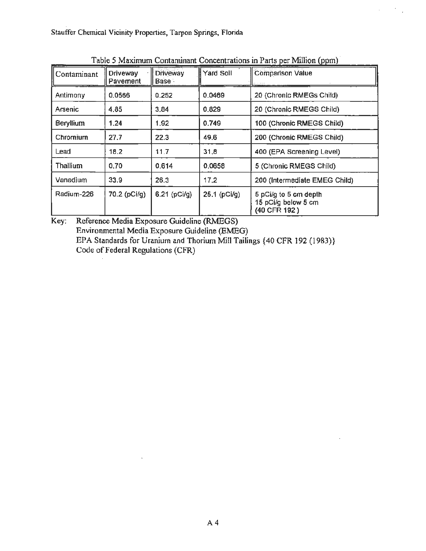| Contaminant      | <b>Driveway</b><br>Pavement | <b>Driveway</b><br><b>Base</b> | Yard Soil    | <b>Comparison Value</b>                                      |
|------------------|-----------------------------|--------------------------------|--------------|--------------------------------------------------------------|
| Antimony         | 0.0566                      | 0.252                          | 0.0469       | 20 (Chronic RMEGs Child)                                     |
| Arsenic          | 4.85                        | 3,84                           | 0.829        | 20 (Chronic RMEGS Child)                                     |
| <b>Beryllium</b> | 1.24                        | 1.92                           | 0.749        | 100 (Chronic RMEGS Child)                                    |
| Chromium         | 27.7                        | 22.3                           | 49.6         | 200 (Chronic RMEGS Child)                                    |
| Lead             | 18.2                        | 11.7                           | 31,8         | 400 (EPA Screening Level)                                    |
| Thallium         | 0.70                        | 0.614                          | 0.0658       | 5 (Chronic RMEGS Child)                                      |
| Vanadium         | 33.9                        | 26.3                           | 17.2         | 200 (Intermediate EMEG Child)                                |
| Radium-226       | 70.2 (pCi/g)                | $6.21$ (pCi/g)                 | 25.1 (pCl/g) | 5 pCi/g to 5 cm depth<br>15 pCi/g below 5 cm<br>(40 CFR 192) |

Table 5 Maximum Contaminant Concentrations in Parts per Million (ppm)

 $\mathcal{C}_{\mathcal{A}}$ 

 $\mathcal{L}^{\text{max}}$ 

Key: Reference Media Exposure Guideline (RMEGS) Environmental Media Exposure Guideline (EMEG) EPA Standards for Uranium and Thorium Mill Tailings {40 CFR 192 (1983)} Code of Federal Regulations (CFR)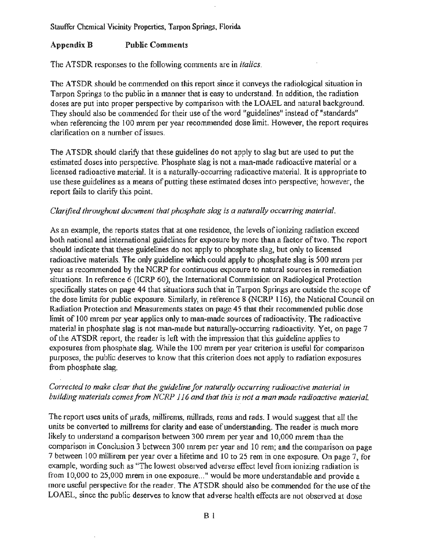#### Appendix B Public Comments

The ATSDR responses to the following comments are in *italics.* 

The ATSDR should be commended on this report since it conveys the radiological situation in Tarpon Springs to the public in a manner that is easy to understand. In addition, the radiation doses are put into proper perspective by comparison with the LOAEL and natural background. They should also be commended for their use of the word "guidelines" instead of"standards" when referencing the 100 mrem per year recommended dose limit. However, the report requires clarification on a number of issues.

The ATSDR should clarify that these guidelines do not apply to slag but are used to put the estimated doses into perspective. Phosphate slag is not a man-made radioactive material or a licensed radioactive material. It is a naturally-occurring radioactive material. It is appropriate to use these guidelines as a means of putting these estimated doses into perspective; however, the report fails to clarify this point.

#### *Clarified throughout document that phosphate slag is a naturally occurring material.*

As an example, the reports states that at one residence, the levels of ionizing radiation exceed both national and international guidelines for exposure by more than a factor of two. The report should indicate that these guidelines do not apply to phosphate slag, but only to licensed radioactive materials. The only guideline which could apply to phosphate slag is 500 mrem per year as recommended by the NCRP for continuous exposure to natural sources in remediation situations. In reference 6 (ICRP 60), the International Commission on Radiological Protection specifically states on page 44 that situations such that in Tarpon Springs are outside the scope of the dose limits for public exposure. Similarly, in reference 8 (NCRP 116), the National Council on Radiation Protection and Measurements states on page 45 that their recommended public dose limit of 100 mrem per year applies only to man-made sources of radioactivity. The radioactive material in phosphate slag is not man-made but naturally-occurring radioactivity. Yet, on page 7 of the ATSDR report, the reader is left with the impression that this guideline applies to exposures from phosphate slag. While the 100 mrem per year criterion is useful for comparison purposes, the public deserves to know that this criterion does not apply to radiation exposures from phosphate slag.

# *Corrected to make clear that the guideline for naturally occurring radioactive material in building materials comes from NCRP 116 and that this is not a man made radioactive material.*

The report uses units of  $\mu$ rads, millirems, millrads, rems and rads. I would suggest that all the units be converted to millrems for clarity and ease of understanding. The reader is much more likely to understand a comparison between 300 mrem per year and 10,000 mrem than the comparison in Conclusion 3 between 300 mrem per year and 10 rem; and the comparison on page 7 between 100 millirem per year over a lifetime and 10 to 25 rem in one exposure. On page 7, for example, wording such as "The lowest observed adverse effect level from ionizing radiation is from 10,000 to 25,000 mrem in one exposure..." would be more understandable and provide a more useful perspective for the reader. The ATSDR should also be commended for the use of the LOAEL, since the public deserves to know that adverse health effects are not observed at dose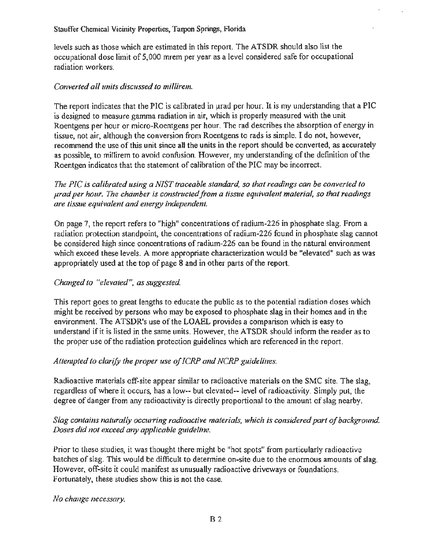levels such as those which are estimated in this report. The ATSDR should also list the occupational dose limit of 5,000 mrem per year as a level considered safe for occupational radiation workers.

# *Converted all units discussed to millirem.*

The report indicates that the PIC is calibrated in urad per hour. It is my understanding that a PIC is designed to measure gamma radiation in air, which is properly measured with the unit Roentgens per hour or micro-Roentgens per hour. The rad describes the absorption of energy in tissue, not air, although the conversion from Roentgens to rads is simple. I do not, however, recommend the use of this unit since all the units in the report should be converted, as accurately as possible, to millirem to avoid confusion. However, my understanding of the definition of the Roentgen indicates that the statement of calibration of the PIC may be incorrect.

# *The PIC is calibrated using a NIST traceable standard, so that readings can be converted to prad per hour. The chamber is constmctedfrom a tissue equivalent material, so that readings are tissue equivalent and energy independent.*

On page 7, the report refers to "high" concentrations of radium-226 in phosphate slag. From a radiation protection standpoint, the concentrations of radium-226 found in phosphate slag cannot be considered high since concentrations of radium-226 can be found in the natural environment which exceed these levels. A more appropriate characterization would be "elevated" such as was appropriately used at the top of page 8 and in other parts of the report.

# *Changed to "elevated", as suggested*

This report goes to great lengths to educate the public as to the potential radiation doses which might be received by persons who may be exposed to phosphate slag in their homes and in the environment. The ATSDR's use of the LOAEL provides a comparison which is easy to understand if it is listed in the same units. However, the ATSDR should inform the reader as to the proper use of the radiation protection guidelines which are referenced in the report.

# *Attempted to clarify the proper use of ICRP and NCRP guidelines.*

Radioactive materials off-site appear similar to radioactive materials on the SMC site. The slag, regardless of where it occurs, has a low-- but elevated-- level of radioactivity. Simply put, the degree of danger from any radioactivity is directly proportional to the amount of slag nearby.

# *Slag contains naturally occurring radioactive materials, which is considered part of background. Doses did not exceed any applicable guideline.*

Prior to these studies, it was thought there might be "hot spots" from particularly radioactive batches of slag. This would be difficult to determine on-site due to the enormous amounts of slag. However, off-site it could manifest as unusually radioactive driveways or foundations. Fortunately, these studies show this is not the case.

*No change necessmy.*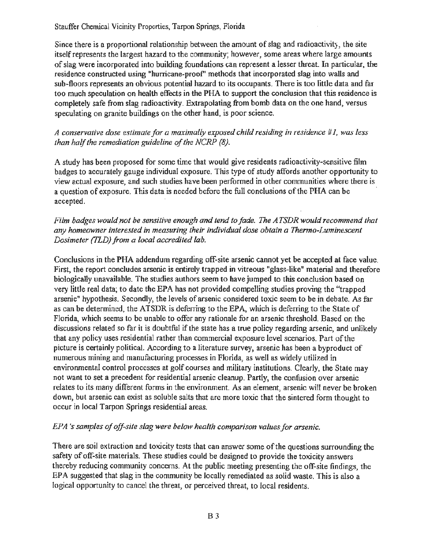Since there is a proportional relationship between the amount of slag and radioactivity, the site itself represents the largest hazard to the community; however, some areas where large amounts of slag were incorporated into building foundations can represent a lesser threat. In particular, the residence constructed using "hurricane-proof' methods that incorporated slag into walls and sub-floors represents an obvious potential hazard to its occupants. There is too little data and far too much speculation on health effects in the PHA to support the conclusion that this residence is completely safe from slag radioactivity. Extrapolating from bomb data on the one hand, versus speculating on granite buildings on the other hand, is poor science.

*A conservative dose estimate for a maximally exposed child residing in residence #I, was less than half the remediation guideline of the NCRP (8).* 

A study has been proposed for some time that would give residents radioactivity-sensitive film badges to accurately gauge individual exposure. This type of study affords another opportunity to view actual exposure, and such studies have been performed in other communities where there is a question of exposure. This data is needed before the full conclusions of the PHA can be accepted.

# *Film badges would.not be sensitive enough and tend to fade. The ATSDR would recommend that any homeowner interested in measuring their individual dose obtain a Thermo-Luminescent Dosimeter (fLD) from a local accredited lab.*

Conclusions in the PHA addendum regarding off-site arsenic cannot yet be accepted at face value. First, the report concludes arsenic is entirely trapped in vitreous "glass-like" material and therefore biologically unavailable. The studies authors seem to have jumped to this conclusion based on very little real data; to date the EPA has not provided compelling studies proving the "trapped arsenic" hypothesis. Secondly, the levels of arsenic considered toxic seem to be in debate. As far as can be determined, the ATSDR is deferring to the EPA, which is deferring to the State of Florida, which seems to be unable to offer any rationale for an arsenic threshold. Based on the discussions related so far it is doubtful if the state has a true policy regarding arsenic, and unlikely that any policy uses residential rather than commercial exposure level scenarios. Part of the picture is certainly political. According to a literature survey, arsenic has been a byproduct of numerous mining and manufacturing processes in Florida, as well as widely utilized in environmental control processes at golf courses and military institutions. Clearly, the State may not want to set a precedent for residential arsenic cleanup. Partly, the confusion over arsenic relates to its many different forms in the environment. As an element, arsenic will never be broken down, but arsenic can exist as soluble salts that are more toxic that the sintered form thought to occur in local Tarpon Springs residential areas.

# *EPA 's samples of off-site slag were below health comparison values for arsenic.*

There are soil extraction and toxicity tests that can answer some of the questions surrounding the safety of off-site materials. These studies could be designed to provide the toxicity answers thereby reducing community concerns. At the public meeting presenting the off-site findings, the EPA suggested that slag in the community be locally remediated as solid waste. This is also a logical opportunity to cancel the threat, or perceived threat, to local residents.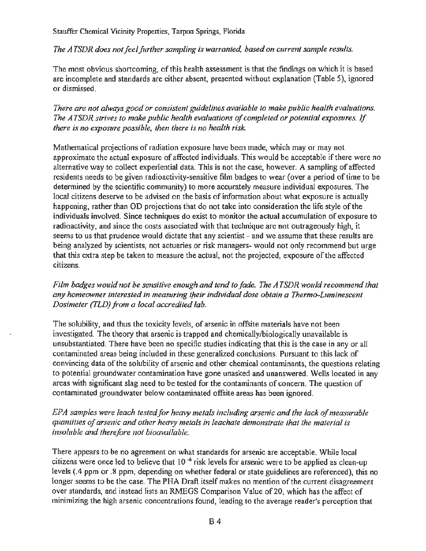*The ATSDR does not feel further sampling is warranted, based on current sample results.* 

The most obvious shortcoming, of this health assessment is that the findings on which it is based are incomplete and standards are either absent, presented without explanation (Table 5), ignored or dismissed.

*There are not always good or consistent guidelines available to make public health evaluations. The A TSDR strives to make public health evaluations of completed or potential exposures.* If *there is no exposure possible, then there is no health risk.* 

Mathematical projections of radiation exposure have been made, which may or may not approximate the actual exposure of affected individuals. This would be acceptable if there were no alternative way to collect experiential data. This is not the case, however. A sampling of affected residents needs to be given radioactivity-sensitive film badges to wear (over a period of time to be determined by the scientific community) to more accurately measure individual exposures. The local citizens deserve to be advised on the basis of information about what exposure is actually happening, rather than OD projections that do not take into consideration the life style of the individuals involved. Since techniques do exist to monitor the actual accumulation of exposure to radioactivity, and since the costs associated with that technique are not outrageously high, it seems to us that prudence would dictate that any scientist - and we assume that these results are being analyzed by scientists, not actuaries or risk managers- would not only recommend but urge that this extra step be taken to measure the actual, not the projected, exposure of the affected citizens.

*Film badges would not be sensitive enough and tend to fade. The ATSDR would recommend that any homeowner interested in measuring tfieir individual dose obtain a Thermo-Luminescent Dosimeter (TLD) from a local accredited lab.* 

The solubility, and thus the toxicity levels, of arsenic in offsite materials have not been investigated. The theory that arsenic is trapped and chemically/biologically unavailable is unsubstantiated. There have been no specific studies indicating that this is the case in any or all contaminated areas being included in these generalized conclusions. Pursuant to this lack of convincing data of the solubility of arsenic and other chemical contaminants, the questions relating to potential groundwater contamination have gone unasked and unanswered. Wells located in any areas with significant slag need to be tested for the contaminants of concern. The question of contaminated groundwater below contaminated offsite areas has been ignored.

*EPA samples were leach tested for heavy metals including arsenic and the lack of measurable quantities of arsenic and other heavy metals in leachate demonstrate that the material is insoluble and therefore not bioavailable.* 

There appears to be no agreement on what standards for arsenic are acceptable. While local citizens were once led to believe that  $10^{-6}$  risk levels for arsenic were to be applied as clean-up levels (.4 ppm or .8 ppm, depending on whether federal or state guidelines are referenced), this no longer seems to be the case. The PHA Draft itself makes no mention of the current disagreement over standards, and instead lists an RMEGS Comparison Value of20, which has the affect of minimizing the high arsenic concentrations found, leading to the average reader's perception that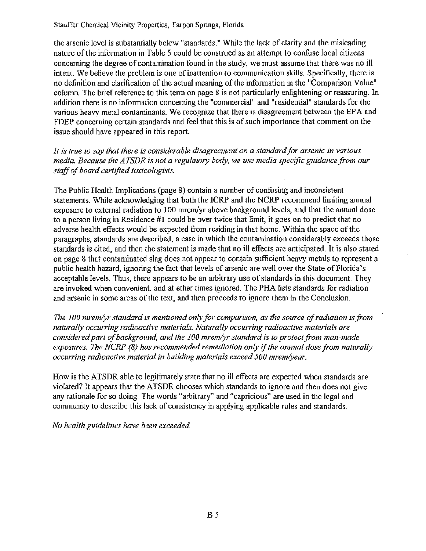the arsenic level is substantially below "standards." While the lack of clarity and the misleading nature of the information in Table 5 could be construed as an attempt to confuse local citizens concerning the degree of contamination found in the study, we must assume that there was no ill intent. We believe the problem is one of inattention to communication skills. Specifically, there is no definition and clarification of the actual meaning of the information in the "Comparison Value" column. The brief reference to this term on page 8 is not particularly enlightening or reassuring. In addition there is no information concerning the "commercial" and "residential" standards for the various heavy metal contaminants. We recognize that there is disagreement between the EPA and FDEP concerning certain standards and feel that this is of such importance that comment on the issue should have appeared in this report.

*It is true to say that there is considerable disagreement on a standard for arsenic in various media. Because the ATSDR is not a regulatory body, we use media specific guidance from our staff of board certified toxicologists.* 

The Public Health Implications (page 8) contain a number of confusing and inconsistent statements. While acknowledging that both the ICRP and the NCRP recommend limiting annual exposure to external radiation to 100 mrem/yr above background levels, and that the annual dose to a person living in Residence #I could be over twice that limit, it goes on to predict that no adverse health effects would be expected from residing in that home. Within the space of the paragraphs, standards are described, a case in which the contamination considerably exceeds those standards is cited, and then the statement is made that no ill effects are anticipated. It is also stated on page 8 that contaminated slag does not appear to contain sufficient heavy metals to represent a public health hazard, ignoring the fact that levels of arsenic are well over the State of Florida's acceptable levels. Thus, there appears to be an arbitrary use of standards in this document. They are invoked when convenient. and at ether times ignored. The PHA lists standards for radiation and arsenic in some areas of the text, and then proceeds to ignore them in the Conclusion.

*The 100 mremlyr standard is mentioned only for comparison, as the source of radiation is from naturally occurring radioactive materials. Naturally occurring radioactive materials are considered part of background, and the 100 mremlyr standard is to protect from man-made exposures. The NCRP (8) has recommended remediation only* if *the annual dose from naturally occurring radioactive material in building materials exceed 500 mremlyear.* 

How is the ATSDR able to legitimately state that no ill effects are expected when standards are violated? It appears that the ATSDR chooses which standards to ignore and then does not give any rationale for so doing. The words "arbitrary" and "capricious" are used in the legal and community to describe this lack of consistency in applying applicable rules and standards.

*No health guidelines have been exceeded*